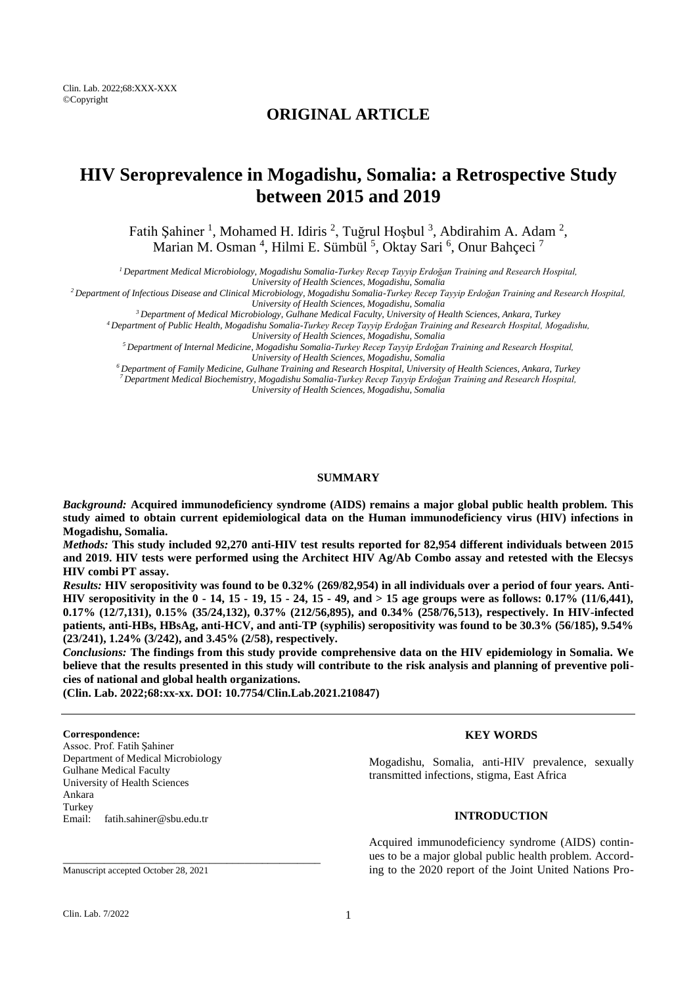Clin. Lab. 2022;68:XXX-XXX ©Copyright

# **ORIGINAL ARTICLE**

# **HIV Seroprevalence in Mogadishu, Somalia: a Retrospective Study between 2015 and 2019**

Fatih Şahiner<sup>1</sup>, Mohamed H. Idiris<sup>2</sup>, Tuğrul Hoşbul<sup>3</sup>, Abdirahim A. Adam<sup>2</sup>, Marian M. Osman<sup>4</sup>, Hilmi E. Sümbül<sup>5</sup>, Oktay Sari<sup>6</sup>, Onur Bahçeci<sup>7</sup>

*<sup>1</sup>Department Medical Microbiology, Mogadishu Somalia-Turkey Recep Tayyip Erdoğan Training and Research Hospital,* 

*University of Health Sciences, Mogadishu, Somalia*

*<sup>2</sup>Department of Infectious Disease and Clinical Microbiology, Mogadishu Somalia-Turkey Recep Tayyip Erdoğan Training and Research Hospital,* 

*University of Health Sciences, Mogadishu, Somalia <sup>3</sup>Department of Medical Microbiology, Gulhane Medical Faculty, University of Health Sciences, Ankara, Turkey*

*<sup>4</sup>Department of Public Health, Mogadishu Somalia-Turkey Recep Tayyip Erdoğan Training and Research Hospital, Mogadishu,* 

*University of Health Sciences, Mogadishu, Somalia*

*<sup>5</sup>Department of Internal Medicine, Mogadishu Somalia-Turkey Recep Tayyip Erdoğan Training and Research Hospital,* 

*University of Health Sciences, Mogadishu, Somalia*

*<sup>6</sup>Department of Family Medicine, Gulhane Training and Research Hospital, University of Health Sciences, Ankara, Turkey <sup>7</sup>Department Medical Biochemistry, Mogadishu Somalia-Turkey Recep Tayyip Erdoğan Training and Research Hospital, University of Health Sciences, Mogadishu, Somalia*

#### **SUMMARY**

*Background:* **Acquired immunodeficiency syndrome (AIDS) remains a major global public health problem. This study aimed to obtain current epidemiological data on the Human immunodeficiency virus (HIV) infections in Mogadishu, Somalia.**

*Methods:* **This study included 92,270 anti-HIV test results reported for 82,954 different individuals between 2015 and 2019. HIV tests were performed using the Architect HIV Ag/Ab Combo assay and retested with the Elecsys HIV combi PT assay.**

*Results:* **HIV seropositivity was found to be 0.32% (269/82,954) in all individuals over a period of four years. Anti-HIV seropositivity in the 0 - 14, 15 - 19, 15 - 24, 15 - 49, and > 15 age groups were as follows: 0.17% (11/6,441), 0.17% (12/7,131), 0.15% (35/24,132), 0.37% (212/56,895), and 0.34% (258/76,513), respectively. In HIV-infected patients, anti-HBs, HBsAg, anti-HCV, and anti-TP (syphilis) seropositivity was found to be 30.3% (56/185), 9.54% (23/241), 1.24% (3/242), and 3.45% (2/58), respectively.**

*Conclusions:* **The findings from this study provide comprehensive data on the HIV epidemiology in Somalia. We believe that the results presented in this study will contribute to the risk analysis and planning of preventive policies of national and global health organizations.**

**(Clin. Lab. 2022;68:xx-xx. DOI: 10.7754/Clin.Lab.2021.210847)**

#### **Correspondence:**

Assoc. Prof. Fatih Şahiner Department of Medical Microbiology Gulhane Medical Faculty University of Health Sciences Ankara Turkey Email: fatih.sahiner@sbu.edu.tr

# **KEY WORDS**

Mogadishu, Somalia, anti-HIV prevalence, sexually transmitted infections, stigma, East Africa

# **INTRODUCTION**

Acquired immunodeficiency syndrome (AIDS) continues to be a major global public health problem. According to the 2020 report of the Joint United Nations Pro-

Manuscript accepted October 28, 2021

\_\_\_\_\_\_\_\_\_\_\_\_\_\_\_\_\_\_\_\_\_\_\_\_\_\_\_\_\_\_\_\_\_\_\_\_\_\_\_\_\_\_\_\_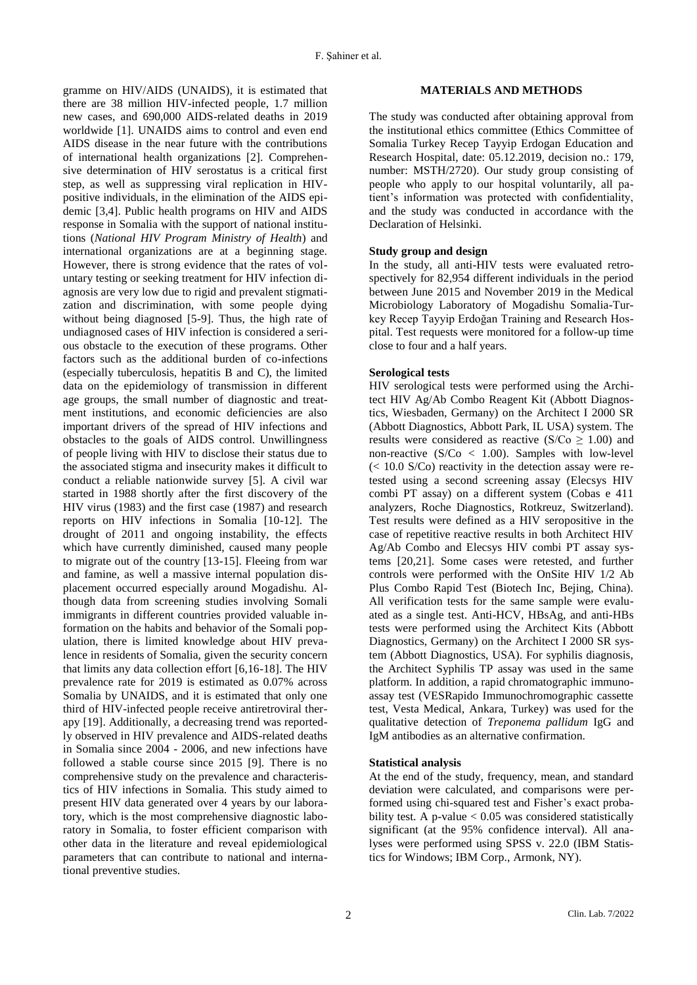gramme on HIV/AIDS (UNAIDS), it is estimated that there are 38 million HIV-infected people, 1.7 million new cases, and 690,000 AIDS-related deaths in 2019 worldwide [1]. UNAIDS aims to control and even end AIDS disease in the near future with the contributions of international health organizations [2]. Comprehensive determination of HIV serostatus is a critical first step, as well as suppressing viral replication in HIVpositive individuals, in the elimination of the AIDS epidemic [3,4]. Public health programs on HIV and AIDS response in Somalia with the support of national institutions (*National HIV Program Ministry of Health*) and international organizations are at a beginning stage. However, there is strong evidence that the rates of voluntary testing or seeking treatment for HIV infection diagnosis are very low due to rigid and prevalent stigmatization and discrimination, with some people dying without being diagnosed [5-9]. Thus, the high rate of undiagnosed cases of HIV infection is considered a serious obstacle to the execution of these programs. Other factors such as the additional burden of co-infections (especially tuberculosis, hepatitis B and C), the limited data on the epidemiology of transmission in different age groups, the small number of diagnostic and treatment institutions, and economic deficiencies are also important drivers of the spread of HIV infections and obstacles to the goals of AIDS control. Unwillingness of people living with HIV to disclose their status due to the associated stigma and insecurity makes it difficult to conduct a reliable nationwide survey [5]. A civil war started in 1988 shortly after the first discovery of the HIV virus (1983) and the first case (1987) and research reports on HIV infections in Somalia [10-12]. The drought of 2011 and ongoing instability, the effects which have currently diminished, caused many people to migrate out of the country [13-15]. Fleeing from war and famine, as well a massive internal population displacement occurred especially around Mogadishu. Although data from screening studies involving Somali immigrants in different countries provided valuable information on the habits and behavior of the Somali population, there is limited knowledge about HIV prevalence in residents of Somalia, given the security concern that limits any data collection effort [6,16-18]. The HIV prevalence rate for 2019 is estimated as 0.07% across Somalia by UNAIDS, and it is estimated that only one third of HIV-infected people receive antiretroviral therapy [19]. Additionally, a decreasing trend was reportedly observed in HIV prevalence and AIDS-related deaths in Somalia since 2004 - 2006, and new infections have followed a stable course since 2015 [9]. There is no comprehensive study on the prevalence and characteristics of HIV infections in Somalia. This study aimed to present HIV data generated over 4 years by our laboratory, which is the most comprehensive diagnostic laboratory in Somalia, to foster efficient comparison with other data in the literature and reveal epidemiological parameters that can contribute to national and international preventive studies.

#### **MATERIALS AND METHODS**

The study was conducted after obtaining approval from the institutional ethics committee (Ethics Committee of Somalia Turkey Recep Tayyip Erdogan Education and Research Hospital, date: 05.12.2019, decision no.: 179, number: MSTH/2720). Our study group consisting of people who apply to our hospital voluntarily, all patient's information was protected with confidentiality, and the study was conducted in accordance with the Declaration of Helsinki.

### **Study group and design**

In the study, all anti-HIV tests were evaluated retrospectively for 82,954 different individuals in the period between June 2015 and November 2019 in the Medical Microbiology Laboratory of Mogadishu Somalia-Turkey Recep Tayyip Erdoğan Training and Research Hospital. Test requests were monitored for a follow-up time close to four and a half years.

#### **Serological tests**

HIV serological tests were performed using the Architect HIV Ag/Ab Combo Reagent Kit (Abbott Diagnostics, Wiesbaden, Germany) on the Architect I 2000 SR (Abbott Diagnostics, Abbott Park, IL USA) system. The results were considered as reactive ( $S/Co \ge 1.00$ ) and non-reactive  $(S/Co < 1.00)$ . Samples with low-level (< 10.0 S/Co) reactivity in the detection assay were retested using a second screening assay (Elecsys HIV combi PT assay) on a different system (Cobas e 411 analyzers, Roche Diagnostics, Rotkreuz, Switzerland). Test results were defined as a HIV seropositive in the case of repetitive reactive results in both Architect HIV Ag/Ab Combo and Elecsys HIV combi PT assay systems [20,21]. Some cases were retested, and further controls were performed with the OnSite HIV 1/2 Ab Plus Combo Rapid Test (Biotech Inc, Bejing, China). All verification tests for the same sample were evaluated as a single test. Anti-HCV, HBsAg, and anti-HBs tests were performed using the Architect Kits (Abbott Diagnostics, Germany) on the Architect I 2000 SR system (Abbott Diagnostics, USA). For syphilis diagnosis, the Architect Syphilis TP assay was used in the same platform. In addition, a rapid chromatographic immunoassay test (VESRapido Immunochromographic cassette test, Vesta Medical, Ankara, Turkey) was used for the qualitative detection of *Treponema pallidum* IgG and IgM antibodies as an alternative confirmation.

#### **Statistical analysis**

At the end of the study, frequency, mean, and standard deviation were calculated, and comparisons were performed using chi-squared test and Fisher's exact probability test. A p-value  $< 0.05$  was considered statistically significant (at the 95% confidence interval). All analyses were performed using SPSS v. 22.0 (IBM Statistics for Windows; IBM Corp., Armonk, NY).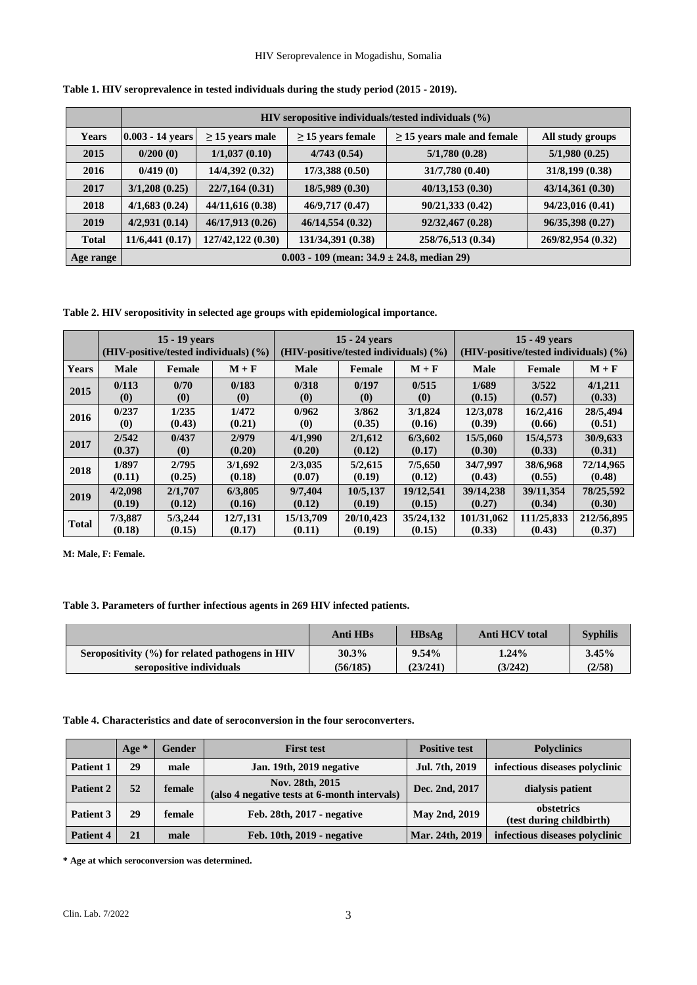|              | HIV seropositive individuals/tested individuals $(\% )$ |                      |                        |                                 |                   |  |
|--------------|---------------------------------------------------------|----------------------|------------------------|---------------------------------|-------------------|--|
| <b>Years</b> | $0.003 - 14$ years                                      | $\geq$ 15 years male | $\geq$ 15 years female | $\geq$ 15 years male and female | All study groups  |  |
| 2015         | 0/200(0)                                                | 1/1,037(0.10)        | 4/743(0.54)            | 5/1,780(0.28)                   | 5/1,980(0.25)     |  |
| 2016         | 0/419(0)                                                | 14/4,392 (0.32)      | 17/3,388(0.50)         | 31/7,780 (0.40)                 | 31/8,199(0.38)    |  |
| 2017         | 3/1,208(0.25)                                           | 22/7,164(0.31)       | 18/5,989 (0.30)        | 40/13,153(0.30)                 | 43/14,361(0.30)   |  |
| 2018         | 4/1,683(0.24)                                           | 44/11,616 (0.38)     | 46/9,717 (0.47)        | 90/21,333 (0.42)                | 94/23,016 (0.41)  |  |
| 2019         | 4/2,931(0.14)                                           | 46/17,913 (0.26)     | 46/14,554(0.32)        | 92/32,467 (0.28)                | 96/35,398 (0.27)  |  |
| <b>Total</b> | 11/6,441(0.17)                                          | 127/42,122 (0.30)    | 131/34,391 (0.38)      | 258/76,513 (0.34)               | 269/82,954 (0.32) |  |
| Age range    | $0.003 - 109$ (mean: $34.9 \pm 24.8$ , median 29)       |                      |                        |                                 |                   |  |

**Table 1. HIV seroprevalence in tested individuals during the study period (2015 - 2019).**

**Table 2. HIV seropositivity in selected age groups with epidemiological importance.**

|              | 15 - 19 years                         |                             |                               | 15 - 24 years                         |           |                               | $15 - 49$ vears                       |            |            |
|--------------|---------------------------------------|-----------------------------|-------------------------------|---------------------------------------|-----------|-------------------------------|---------------------------------------|------------|------------|
|              | (HIV-positive/tested individuals) (%) |                             |                               | (HIV-positive/tested individuals) (%) |           |                               | (HIV-positive/tested individuals) (%) |            |            |
| <b>Years</b> | <b>Male</b>                           | Female                      | $M + F$                       | Male                                  | Female    | $M + F$                       | Male                                  | Female     | $M + F$    |
| 2015         | 0/113                                 | 0/70                        | 0/183                         | 0/318                                 | 0/197     | 0/515                         | 1/689                                 | 3/522      | 4/1,211    |
|              | $\boldsymbol{\left(0\right)}$         | (0)                         | $\boldsymbol{\left(0\right)}$ | (0)                                   | (0)       | $\boldsymbol{\left(0\right)}$ | (0.15)                                | (0.57)     | (0.33)     |
| 2016         | 0/237                                 | 1/235                       | 1/472                         | 0/962                                 | 3/862     | 3/1,824                       | 12/3.078                              | 16/2,416   | 28/5,494   |
|              | $\boldsymbol{0}$                      | (0.43)                      | (0.21)                        | $\boldsymbol{\left(0\right)}$         | (0.35)    | (0.16)                        | (0.39)                                | (0.66)     | (0.51)     |
| 2017         | 2/542                                 | 0/437                       | 2/979                         | 4/1,990                               | 2/1,612   | 6/3,602                       | 15/5,060                              | 15/4,573   | 30/9,633   |
|              | (0.37)                                | $\left( \mathbf{0} \right)$ | (0.20)                        | (0.20)                                | (0.12)    | (0.17)                        | (0.30)                                | (0.33)     | (0.31)     |
| 2018         | 1/897                                 | 2/795                       | 3/1,692                       | 2/3,035                               | 5/2,615   | 7/5,650                       | 34/7.997                              | 38/6.968   | 72/14.965  |
|              | (0.11)                                | (0.25)                      | (0.18)                        | (0.07)                                | (0.19)    | (0.12)                        | (0.43)                                | (0.55)     | (0.48)     |
| 2019         | 4/2,098                               | 2/1,707                     | 6/3,805                       | 9/7.404                               | 10/5,137  | 19/12.541                     | 39/14.238                             | 39/11.354  | 78/25,592  |
|              | (0.19)                                | (0.12)                      | (0.16)                        | (0.12)                                | (0.19)    | (0.15)                        | (0.27)                                | (0.34)     | (0.30)     |
| <b>Total</b> | 7/3,887                               | 5/3,244                     | 12/7.131                      | 15/13.709                             | 20/10,423 | 35/24,132                     | 101/31,062                            | 111/25.833 | 212/56,895 |
|              | (0.18)                                | (0.15)                      | (0.17)                        | (0.11)                                | (0.19)    | (0.15)                        | (0.33)                                | (0.43)     | (0.37)     |

**M: Male, F: Female.**

# **Table 3. Parameters of further infectious agents in 269 HIV infected patients.**

|                                                     | Anti HBs | HBSAg    | Anti HCV total | <b>Syphilis</b> |
|-----------------------------------------------------|----------|----------|----------------|-----------------|
| Seropositivity $(\% )$ for related pathogens in HIV | $30.3\%$ | 9.54%    | $1.24\%$       | 3.45%           |
| seropositive individuals                            | (56/185) | (23/241) | (3/242)        | (2/58)          |

**Table 4. Characteristics and date of seroconversion in the four seroconverters.**

|           | Age $*$ | <b>Gender</b> | <b>First test</b>                                               | <b>Positive test</b> | <b>Polyclinics</b>                     |
|-----------|---------|---------------|-----------------------------------------------------------------|----------------------|----------------------------------------|
| Patient 1 | 29      | male          | Jan. 19th, 2019 negative                                        | Jul. 7th, 2019       | infectious diseases polyclinic         |
| Patient 2 | 52      | female        | Nov. 28th, 2015<br>(also 4 negative tests at 6-month intervals) | Dec. 2nd, 2017       | dialysis patient                       |
| Patient 3 | 29      | female        | Feb. 28th, 2017 - negative                                      | May 2nd, 2019        | obstetrics<br>(test during childbirth) |
| Patient 4 | 21      | male          | Feb. $10th$ , $2019$ - negative                                 | Mar. 24th, 2019      | infectious diseases polyclinic         |

**\* Age at which seroconversion was determined.**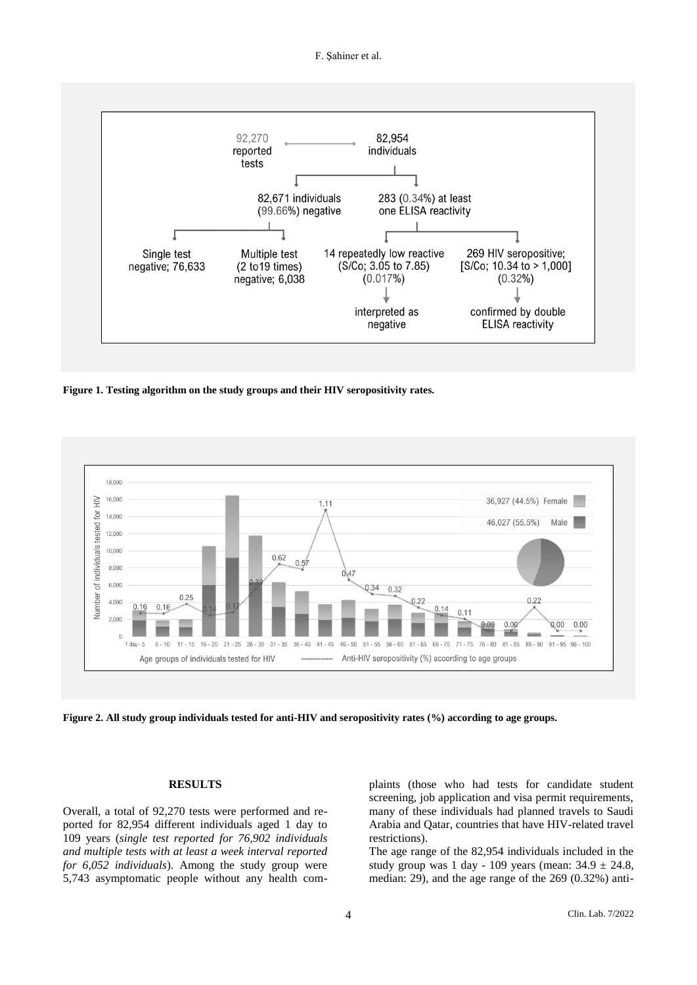F. Şahiner et al.



**Figure 1. Testing algorithm on the study groups and their HIV seropositivity rates.**



**Figure 2. All study group individuals tested for anti-HIV and seropositivity rates (%) according to age groups.**

#### **RESULTS**

Overall, a total of 92,270 tests were performed and reported for 82,954 different individuals aged 1 day to 109 years (*single test reported for 76,902 individuals and multiple tests with at least a week interval reported for 6,052 individuals*). Among the study group were 5,743 asymptomatic people without any health complaints (those who had tests for candidate student screening, job application and visa permit requirements, many of these individuals had planned travels to Saudi Arabia and Qatar, countries that have HIV-related travel restrictions).

The age range of the 82,954 individuals included in the study group was 1 day - 109 years (mean:  $34.9 \pm 24.8$ , median: 29), and the age range of the 269 (0.32%) anti-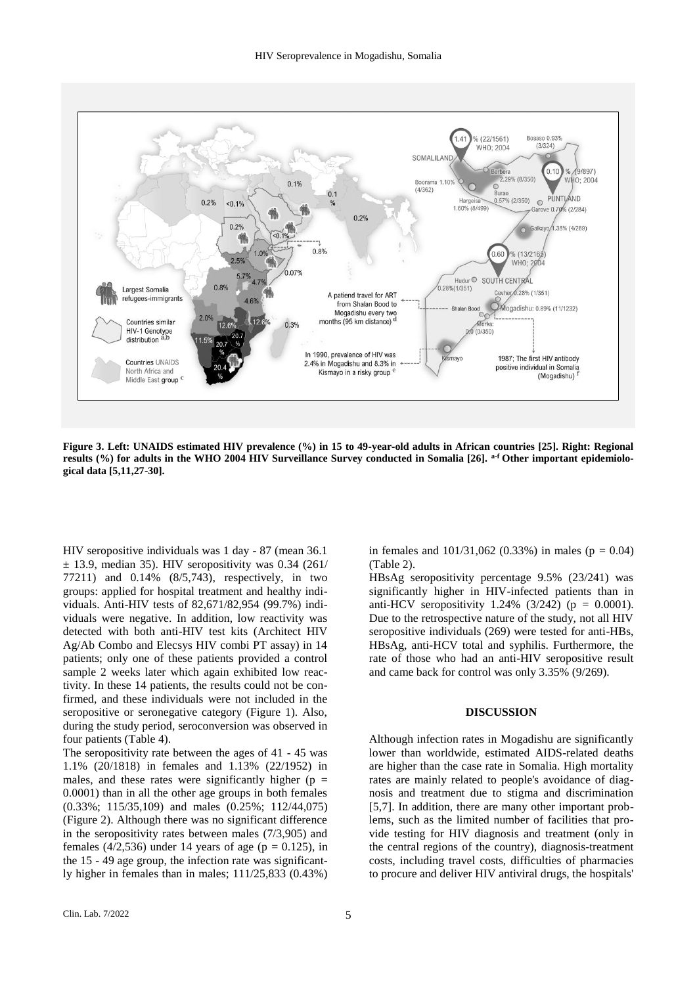

**Figure 3. Left: UNAIDS estimated HIV prevalence (%) in 15 to 49-year-old adults in African countries [25]. Right: Regional results (%) for adults in the WHO 2004 HIV Surveillance Survey conducted in Somalia [26]. a-f Other important epidemiological data [5,11,27-30].**

HIV seropositive individuals was 1 day - 87 (mean 36.1  $\pm$  13.9, median 35). HIV seropositivity was 0.34 (261/ 77211) and 0.14% (8/5,743), respectively, in two groups: applied for hospital treatment and healthy individuals. Anti-HIV tests of 82,671/82,954 (99.7%) individuals were negative. In addition, low reactivity was detected with both anti-HIV test kits (Architect HIV Ag/Ab Combo and Elecsys HIV combi PT assay) in 14 patients; only one of these patients provided a control sample 2 weeks later which again exhibited low reactivity. In these 14 patients, the results could not be confirmed, and these individuals were not included in the seropositive or seronegative category (Figure 1). Also, during the study period, seroconversion was observed in four patients (Table 4).

The seropositivity rate between the ages of 41 - 45 was 1.1% (20/1818) in females and 1.13% (22/1952) in males, and these rates were significantly higher ( $p =$ 0.0001) than in all the other age groups in both females (0.33%; 115/35,109) and males (0.25%; 112/44,075) (Figure 2). Although there was no significant difference in the seropositivity rates between males (7/3,905) and females (4/2,536) under 14 years of age ( $p = 0.125$ ), in the 15 - 49 age group, the infection rate was significantly higher in females than in males; 111/25,833 (0.43%) in females and  $101/31,062$  (0.33%) in males ( $p = 0.04$ ) (Table 2).

HBsAg seropositivity percentage 9.5% (23/241) was significantly higher in HIV-infected patients than in anti-HCV seropositivity 1.24%  $(3/242)$  (p = 0.0001). Due to the retrospective nature of the study, not all HIV seropositive individuals (269) were tested for anti-HBs, HBsAg, anti-HCV total and syphilis. Furthermore, the rate of those who had an anti-HIV seropositive result and came back for control was only 3.35% (9/269).

### **DISCUSSION**

Although infection rates in Mogadishu are significantly lower than worldwide, estimated AIDS-related deaths are higher than the case rate in Somalia. High mortality rates are mainly related to people's avoidance of diagnosis and treatment due to stigma and discrimination [5,7]. In addition, there are many other important problems, such as the limited number of facilities that provide testing for HIV diagnosis and treatment (only in the central regions of the country), diagnosis-treatment costs, including travel costs, difficulties of pharmacies to procure and deliver HIV antiviral drugs, the hospitals'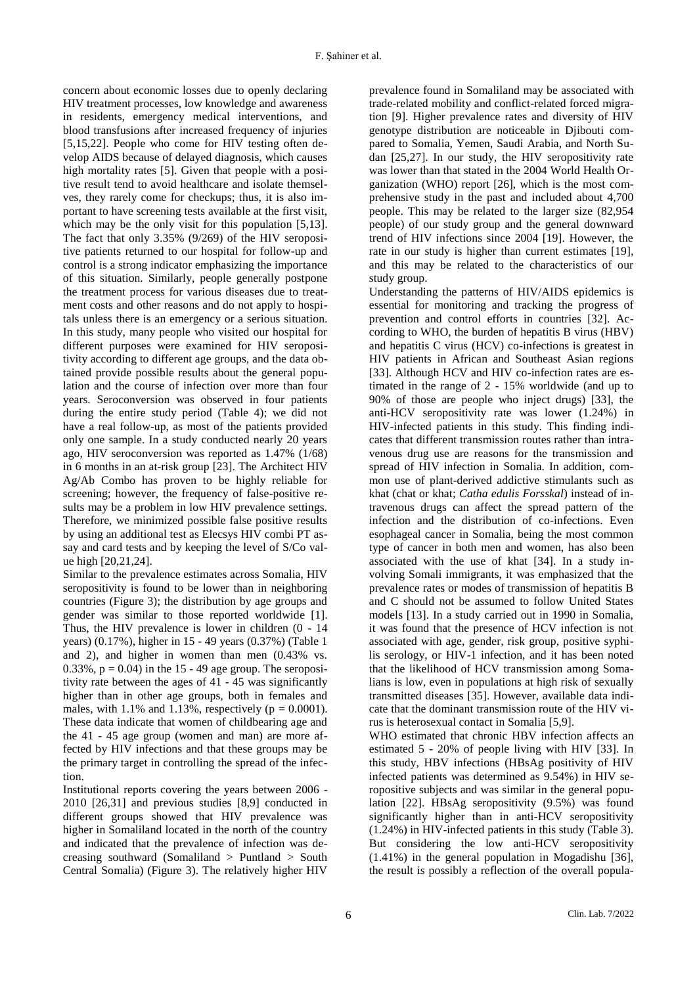concern about economic losses due to openly declaring HIV treatment processes, low knowledge and awareness in residents, emergency medical interventions, and blood transfusions after increased frequency of injuries [5,15,22]. People who come for HIV testing often develop AIDS because of delayed diagnosis, which causes high mortality rates [5]. Given that people with a positive result tend to avoid healthcare and isolate themselves, they rarely come for checkups; thus, it is also important to have screening tests available at the first visit, which may be the only visit for this population [5,13]. The fact that only 3.35% (9/269) of the HIV seropositive patients returned to our hospital for follow-up and control is a strong indicator emphasizing the importance of this situation. Similarly, people generally postpone the treatment process for various diseases due to treatment costs and other reasons and do not apply to hospitals unless there is an emergency or a serious situation. In this study, many people who visited our hospital for different purposes were examined for HIV seropositivity according to different age groups, and the data obtained provide possible results about the general population and the course of infection over more than four years. Seroconversion was observed in four patients during the entire study period (Table 4); we did not have a real follow-up, as most of the patients provided only one sample. In a study conducted nearly 20 years ago, HIV seroconversion was reported as 1.47% (1/68) in 6 months in an at-risk group [23]. The Architect HIV Ag/Ab Combo has proven to be highly reliable for screening; however, the frequency of false-positive results may be a problem in low HIV prevalence settings. Therefore, we minimized possible false positive results by using an additional test as Elecsys HIV combi PT assay and card tests and by keeping the level of S/Co value high [20,21,24].

Similar to the prevalence estimates across Somalia, HIV seropositivity is found to be lower than in neighboring countries (Figure 3); the distribution by age groups and gender was similar to those reported worldwide [1]. Thus, the HIV prevalence is lower in children (0 - 14 years) (0.17%), higher in 15 - 49 years (0.37%) (Table 1 and 2), and higher in women than men (0.43% vs.  $0.33\%$ ,  $p = 0.04$ ) in the 15 - 49 age group. The seropositivity rate between the ages of 41 - 45 was significantly higher than in other age groups, both in females and males, with 1.1% and 1.13%, respectively ( $p = 0.0001$ ). These data indicate that women of childbearing age and the 41 - 45 age group (women and man) are more affected by HIV infections and that these groups may be the primary target in controlling the spread of the infection.

Institutional reports covering the years between 2006 - 2010 [26,31] and previous studies [8,9] conducted in different groups showed that HIV prevalence was higher in Somaliland located in the north of the country and indicated that the prevalence of infection was decreasing southward (Somaliland > Puntland > South Central Somalia) (Figure 3). The relatively higher HIV

prevalence found in Somaliland may be associated with trade-related mobility and conflict-related forced migration [9]. Higher prevalence rates and diversity of HIV genotype distribution are noticeable in Djibouti compared to Somalia, Yemen, Saudi Arabia, and North Sudan [25,27]. In our study, the HIV seropositivity rate was lower than that stated in the 2004 World Health Organization (WHO) report [26], which is the most comprehensive study in the past and included about 4,700 people. This may be related to the larger size (82,954 people) of our study group and the general downward trend of HIV infections since 2004 [19]. However, the rate in our study is higher than current estimates [19], and this may be related to the characteristics of our study group.

Understanding the patterns of HIV/AIDS epidemics is essential for monitoring and tracking the progress of prevention and control efforts in countries [32]. According to WHO, the burden of hepatitis B virus (HBV) and hepatitis C virus (HCV) co-infections is greatest in HIV patients in African and Southeast Asian regions [33]. Although HCV and HIV co-infection rates are estimated in the range of 2 - 15% worldwide (and up to 90% of those are people who inject drugs) [33], the anti-HCV seropositivity rate was lower (1.24%) in HIV-infected patients in this study. This finding indicates that different transmission routes rather than intravenous drug use are reasons for the transmission and spread of HIV infection in Somalia. In addition, common use of plant-derived addictive stimulants such as khat (chat or khat; *Catha edulis Forsskal*) instead of intravenous drugs can affect the spread pattern of the infection and the distribution of co-infections. Even esophageal cancer in Somalia, being the most common type of cancer in both men and women, has also been associated with the use of khat [34]. In a study involving Somali immigrants, it was emphasized that the prevalence rates or modes of transmission of hepatitis B and C should not be assumed to follow United States models [13]. In a study carried out in 1990 in Somalia, it was found that the presence of HCV infection is not associated with age, gender, risk group, positive syphilis serology, or HIV-1 infection, and it has been noted that the likelihood of HCV transmission among Somalians is low, even in populations at high risk of sexually transmitted diseases [35]. However, available data indicate that the dominant transmission route of the HIV virus is heterosexual contact in Somalia [5,9].

WHO estimated that chronic HBV infection affects an estimated 5 - 20% of people living with HIV [33]. In this study, HBV infections (HBsAg positivity of HIV infected patients was determined as 9.54%) in HIV seropositive subjects and was similar in the general population [22]. HBsAg seropositivity (9.5%) was found significantly higher than in anti-HCV seropositivity (1.24%) in HIV-infected patients in this study (Table 3). But considering the low anti-HCV seropositivity (1.41%) in the general population in Mogadishu [36], the result is possibly a reflection of the overall popula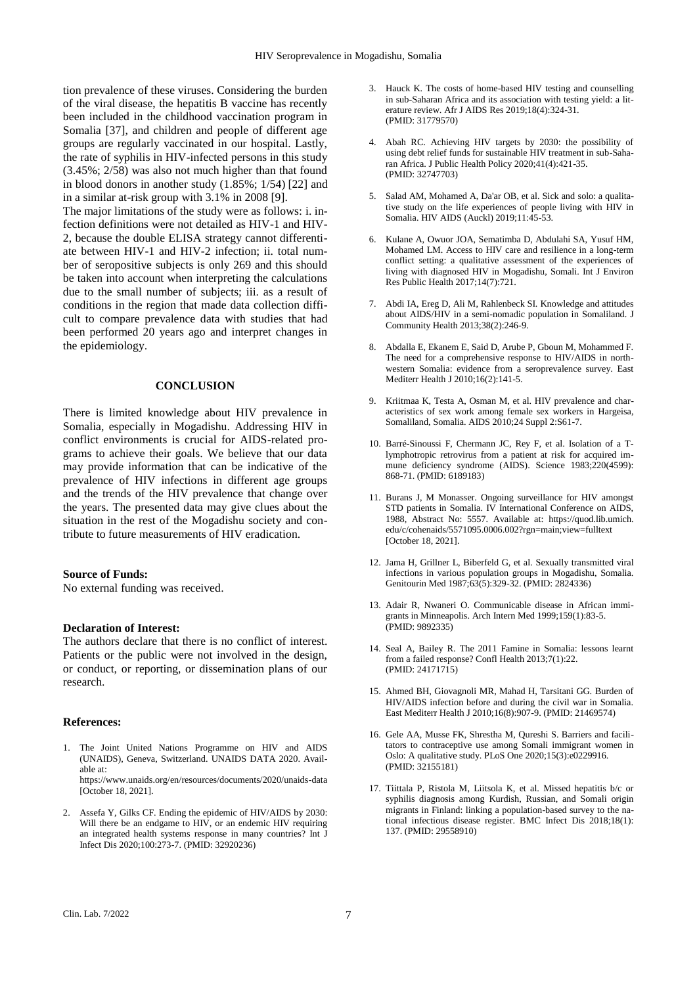tion prevalence of these viruses. Considering the burden of the viral disease, the hepatitis B vaccine has recently been included in the childhood vaccination program in Somalia [37], and children and people of different age groups are regularly vaccinated in our hospital. Lastly, the rate of syphilis in HIV-infected persons in this study (3.45%; 2/58) was also not much higher than that found in blood donors in another study (1.85%; 1/54) [22] and in a similar at-risk group with 3.1% in 2008 [9].

The major limitations of the study were as follows: i. infection definitions were not detailed as HIV-1 and HIV-2, because the double ELISA strategy cannot differentiate between HIV-1 and HIV-2 infection; ii. total number of seropositive subjects is only 269 and this should be taken into account when interpreting the calculations due to the small number of subjects; iii. as a result of conditions in the region that made data collection difficult to compare prevalence data with studies that had been performed 20 years ago and interpret changes in the epidemiology.

#### **CONCLUSION**

There is limited knowledge about HIV prevalence in Somalia, especially in Mogadishu. Addressing HIV in conflict environments is crucial for AIDS-related programs to achieve their goals. We believe that our data may provide information that can be indicative of the prevalence of HIV infections in different age groups and the trends of the HIV prevalence that change over the years. The presented data may give clues about the situation in the rest of the Mogadishu society and contribute to future measurements of HIV eradication.

#### **Source of Funds:**

No external funding was received.

#### **Declaration of Interest:**

The authors declare that there is no conflict of interest. Patients or the public were not involved in the design, or conduct, or reporting, or dissemination plans of our research.

#### **References:**

- 1. The Joint United Nations Programme on HIV and AIDS (UNAIDS), Geneva, Switzerland. UNAIDS DATA 2020. Available at: https://www.unaids.org/en/resources/documents/2020/unaids-data [October 18, 2021].
- 2. Assefa Y, Gilks CF. Ending the epidemic of HIV/AIDS by 2030: Will there be an endgame to HIV, or an endemic HIV requiring an integrated health systems response in many countries? Int J Infect Dis 2020;100:273-7. (PMID: 32920236)
- 3. Hauck K. The costs of home-based HIV testing and counselling in sub-Saharan Africa and its association with testing yield: a literature review. Afr J AIDS Res 2019;18(4):324-31. (PMID: 31779570)
- 4. Abah RC. Achieving HIV targets by 2030: the possibility of using debt relief funds for sustainable HIV treatment in sub-Saharan Africa. J Public Health Policy 2020;41(4):421-35. (PMID: 32747703)
- 5. Salad AM, Mohamed A, Da'ar OB, et al. Sick and solo: a qualitative study on the life experiences of people living with HIV in Somalia. HIV AIDS (Auckl) 2019;11:45-53.
- 6. Kulane A, Owuor JOA, Sematimba D, Abdulahi SA, Yusuf HM, Mohamed LM. Access to HIV care and resilience in a long-term conflict setting: a qualitative assessment of the experiences of living with diagnosed HIV in Mogadishu, Somali. Int J Environ Res Public Health 2017;14(7):721.
- 7. Abdi IA, Ereg D, Ali M, Rahlenbeck SI. Knowledge and attitudes about AIDS/HIV in a semi-nomadic population in Somaliland. J Community Health 2013;38(2):246-9.
- 8. Abdalla E, Ekanem E, Said D, Arube P, Gboun M, Mohammed F. The need for a comprehensive response to HIV/AIDS in northwestern Somalia: evidence from a seroprevalence survey. East Mediterr Health J 2010;16(2):141-5.
- 9. Kriitmaa K, Testa A, Osman M, et al. HIV prevalence and characteristics of sex work among female sex workers in Hargeisa, Somaliland, Somalia. AIDS 2010;24 Suppl 2:S61-7.
- 10. Barré-Sinoussi F, Chermann JC, Rey F, et al. Isolation of a Tlymphotropic retrovirus from a patient at risk for acquired immune deficiency syndrome (AIDS). Science 1983;220(4599): 868-71. (PMID: 6189183)
- 11. Burans J, M Monasser. Ongoing surveillance for HIV amongst STD patients in Somalia. IV International Conference on AIDS, 1988, Abstract No: 5557. Available at: https://quod.lib.umich. edu/c/cohenaids/5571095.0006.002?rgn=main;view=fulltext [October 18, 2021].
- 12. Jama H, Grillner L, Biberfeld G, et al. Sexually transmitted viral infections in various population groups in Mogadishu, Somalia. Genitourin Med 1987;63(5):329-32. (PMID: 2824336)
- 13. Adair R, Nwaneri O. Communicable disease in African immigrants in Minneapolis. Arch Intern Med 1999;159(1):83-5. (PMID: 9892335)
- 14. Seal A, Bailey R. The 2011 Famine in Somalia: lessons learnt from a failed response? Confl Health 2013;7(1):22. (PMID: 24171715)
- 15. Ahmed BH, Giovagnoli MR, Mahad H, Tarsitani GG. Burden of HIV/AIDS infection before and during the civil war in Somalia. East Mediterr Health J 2010;16(8):907-9. (PMID: 21469574)
- 16. Gele AA, Musse FK, Shrestha M, Qureshi S. Barriers and facilitators to contraceptive use among Somali immigrant women in Oslo: A qualitative study. PLoS One 2020;15(3):e0229916. (PMID: 32155181)
- 17. Tiittala P, Ristola M, Liitsola K, et al. Missed hepatitis b/c or syphilis diagnosis among Kurdish, Russian, and Somali origin migrants in Finland: linking a population-based survey to the national infectious disease register. BMC Infect Dis 2018;18(1): 137. (PMID: 29558910)